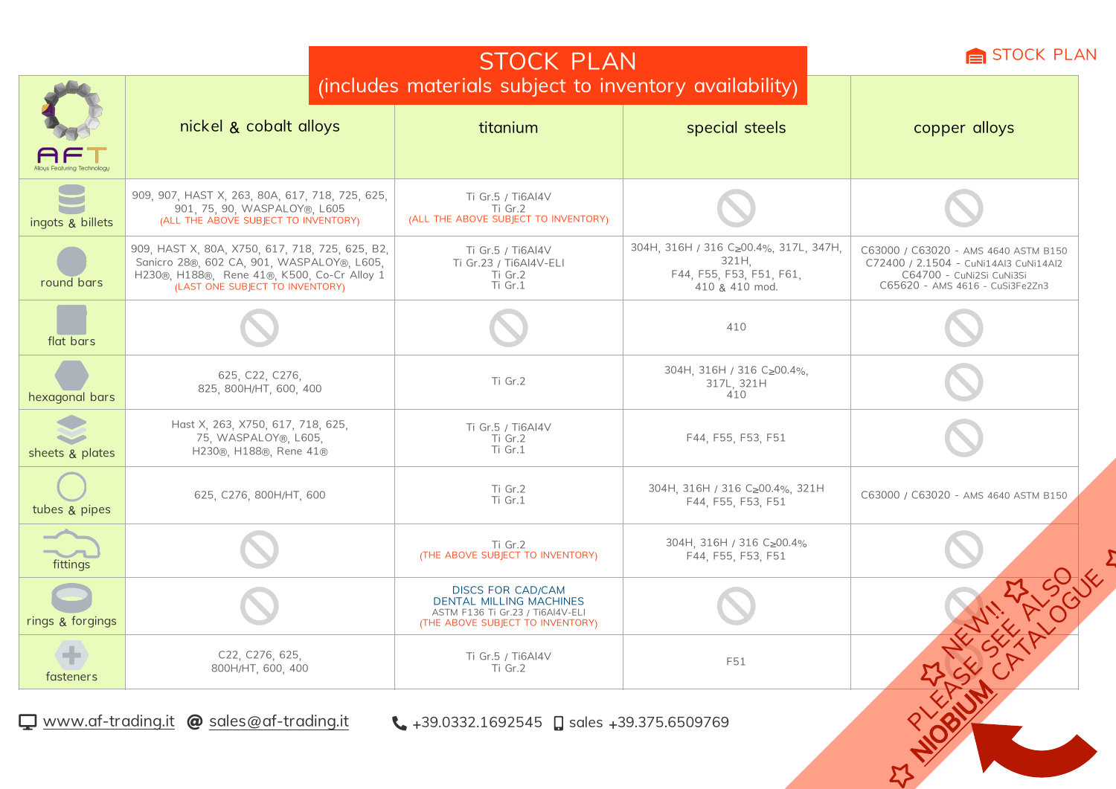|                                                                                             |                                                                                                                                                                                 | STOCK PLAN                                                                                                                         |                                                                                              |                                                                                                                                              |  |  |  |
|---------------------------------------------------------------------------------------------|---------------------------------------------------------------------------------------------------------------------------------------------------------------------------------|------------------------------------------------------------------------------------------------------------------------------------|----------------------------------------------------------------------------------------------|----------------------------------------------------------------------------------------------------------------------------------------------|--|--|--|
|                                                                                             | nickel & cobalt alloys                                                                                                                                                          | (includes materials subject to inventory availability)<br>titanium                                                                 | special steels                                                                               | copper alloys                                                                                                                                |  |  |  |
| ingots & billets                                                                            | 909, 907, HAST X, 263, 80A, 617, 718, 725, 625,<br>901, 75, 90, WASPALOY®, L605<br>(ALL THE ABOVE SUBJECT TO INVENTORY)                                                         | Ti Gr.5 / Ti6Al4V<br>Ti Gr.2<br>(ALL THE ABOVE SUBJECT TO INVENTORY)                                                               |                                                                                              |                                                                                                                                              |  |  |  |
| round bars                                                                                  | 909, HAST X, 80A, X750, 617, 718, 725, 625, B2,<br>Sanicro 28®, 602 CA, 901, WASPALOY®, L605,<br>H230®, H188®, Rene 41®, K500, Co-Cr Alloy 1<br>(LAST ONE SUBJECT TO INVENTORY) | Ti Gr.5 / Ti6Al4V<br>Ti Gr.23 / Ti6Al4V-ELI<br>Ti Gr.2<br>Ti Gr.1                                                                  | 304H, 316H / 316 C≥00.4%, 317L, 347H,<br>321H.<br>F44, F55, F53, F51, F61,<br>410 & 410 mod. | C63000 / C63020 - AMS 4640 ASTM B150<br>C72400 / 2.1504 - CuNi14Al3 CuNi14Al2<br>C64700 - CuNi2Si CuNi3Si<br>C65620 - AMS 4616 - CuSi3Fe2Zn3 |  |  |  |
| flat bars                                                                                   |                                                                                                                                                                                 |                                                                                                                                    | 410                                                                                          |                                                                                                                                              |  |  |  |
| hexagonal bars                                                                              | 625, C22, C276,<br>825, 800H/HT, 600, 400                                                                                                                                       | Ti Gr.2                                                                                                                            | 304H, 316H / 316 C≥00.4%,<br>317L, 321H<br>410                                               |                                                                                                                                              |  |  |  |
| sheets & plates                                                                             | Hast X, 263, X750, 617, 718, 625,<br>75, WASPALOY®, L605,<br>H230®, H188®, Rene 41®                                                                                             | Ti Gr.5 / Ti6Al4V<br>Ti Gr.2<br>Ti Gr.1                                                                                            | F44, F55, F53, F51                                                                           |                                                                                                                                              |  |  |  |
| tubes & pipes                                                                               | 625, C276, 800H/HT, 600                                                                                                                                                         | Ti Gr.2<br>Ti Gr.1                                                                                                                 | 304H, 316H / 316 C≥00.4%, 321H<br>F44, F55, F53, F51                                         | C63000 / C63020 - AMS 4640 ASTM B150                                                                                                         |  |  |  |
| fittings                                                                                    |                                                                                                                                                                                 | Ti Gr.2<br>(THE ABOVE SUBJECT TO INVENTORY)                                                                                        | 304H, 316H / 316 C≥00.4%<br>F44, F55, F53, F51                                               |                                                                                                                                              |  |  |  |
| rings & forgings                                                                            |                                                                                                                                                                                 | <b>DISCS FOR CAD/CAM</b><br><b>DENTAL MILLING MACHINES</b><br>ASTM F136 Ti Gr.23 / Ti6Al4V-ELI<br>(THE ABOVE SUBJECT TO INVENTORY) |                                                                                              |                                                                                                                                              |  |  |  |
| fasteners                                                                                   | C22, C276, 625,<br>800H/HT, 600, 400                                                                                                                                            | Ti Gr.5 / Ti6Al4V<br>Ti Gr.2                                                                                                       | F51                                                                                          |                                                                                                                                              |  |  |  |
| www.af-trading.it @ sales@af-trading.it<br>$\bullet$ +39.0332.1692545 asdes +39.375.6509769 |                                                                                                                                                                                 |                                                                                                                                    |                                                                                              |                                                                                                                                              |  |  |  |